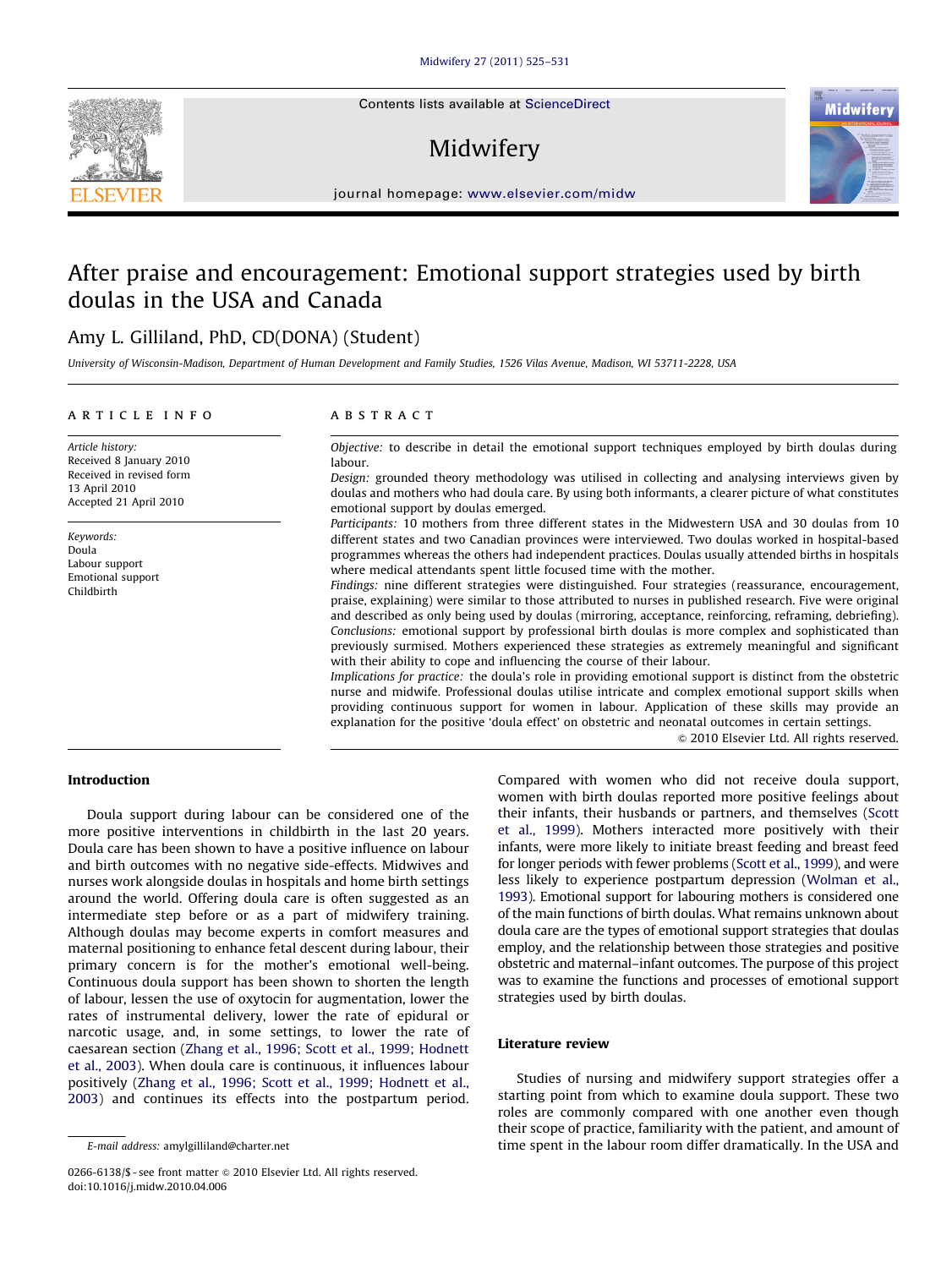

Contents lists available at ScienceDirect

## Midwifery



journal homepage: <www.elsevier.com/midw>

# After praise and encouragement: Emotional support strategies used by birth doulas in the USA and Canada

## Amy L. Gilliland, PhD, CD(DONA) (Student)

University of Wisconsin-Madison, Department of Human Development and Family Studies, 1526 Vilas Avenue, Madison, WI 53711-2228, USA

#### article info

Article history: Received 8 January 2010 Received in revised form 13 April 2010 Accepted 21 April 2010

Keywords: Doula Labour support Emotional support Childbirth

#### ABSTRACT

Objective: to describe in detail the emotional support techniques employed by birth doulas during labour.

Design: grounded theory methodology was utilised in collecting and analysing interviews given by doulas and mothers who had doula care. By using both informants, a clearer picture of what constitutes emotional support by doulas emerged.

Participants: 10 mothers from three different states in the Midwestern USA and 30 doulas from 10 different states and two Canadian provinces were interviewed. Two doulas worked in hospital-based programmes whereas the others had independent practices. Doulas usually attended births in hospitals where medical attendants spent little focused time with the mother.

Findings: nine different strategies were distinguished. Four strategies (reassurance, encouragement, praise, explaining) were similar to those attributed to nurses in published research. Five were original and described as only being used by doulas (mirroring, acceptance, reinforcing, reframing, debriefing). Conclusions: emotional support by professional birth doulas is more complex and sophisticated than previously surmised. Mothers experienced these strategies as extremely meaningful and significant with their ability to cope and influencing the course of their labour.

Implications for practice: the doula's role in providing emotional support is distinct from the obstetric nurse and midwife. Professional doulas utilise intricate and complex emotional support skills when providing continuous support for women in labour. Application of these skills may provide an explanation for the positive 'doula effect' on obstetric and neonatal outcomes in certain settings.

 $\odot$  2010 Elsevier Ltd. All rights reserved.

## Introduction

Doula support during labour can be considered one of the more positive interventions in childbirth in the last 20 years. Doula care has been shown to have a positive influence on labour and birth outcomes with no negative side-effects. Midwives and nurses work alongside doulas in hospitals and home birth settings around the world. Offering doula care is often suggested as an intermediate step before or as a part of midwifery training. Although doulas may become experts in comfort measures and maternal positioning to enhance fetal descent during labour, their primary concern is for the mother's emotional well-being. Continuous doula support has been shown to shorten the length of labour, lessen the use of oxytocin for augmentation, lower the rates of instrumental delivery, lower the rate of epidural or narcotic usage, and, in some settings, to lower the rate of caesarean section [\(Zhang et al., 1996; Scott et al., 1999; Hodnett](#page-6-0) [et al., 2003](#page-6-0)). When doula care is continuous, it influences labour positively [\(Zhang et al., 1996; Scott et al., 1999; Hodnett et al.,](#page-6-0) [2003\)](#page-6-0) and continues its effects into the postpartum period.

Compared with women who did not receive doula support, women with birth doulas reported more positive feelings about their infants, their husbands or partners, and themselves [\(Scott](#page-6-0) [et al., 1999](#page-6-0)). Mothers interacted more positively with their infants, were more likely to initiate breast feeding and breast feed for longer periods with fewer problems [\(Scott et al., 1999](#page-6-0)), and were less likely to experience postpartum depression ([Wolman et al.,](#page-6-0) [1993](#page-6-0)). Emotional support for labouring mothers is considered one of the main functions of birth doulas. What remains unknown about doula care are the types of emotional support strategies that doulas employ, and the relationship between those strategies and positive obstetric and maternal–infant outcomes. The purpose of this project was to examine the functions and processes of emotional support strategies used by birth doulas.

## Literature review

Studies of nursing and midwifery support strategies offer a starting point from which to examine doula support. These two roles are commonly compared with one another even though their scope of practice, familiarity with the patient, and amount of time spent in the labour room differ dramatically. In the USA and

E-mail address: [amylgilliland@charter.net](mailto:amylgilliland@charter.net)

<sup>0266-6138/\$ -</sup> see front matter @ 2010 Elsevier Ltd. All rights reserved. doi:[10.1016/j.midw.2010.04.006](dx.doi.org/10.1016/j.midw.2010.04.006)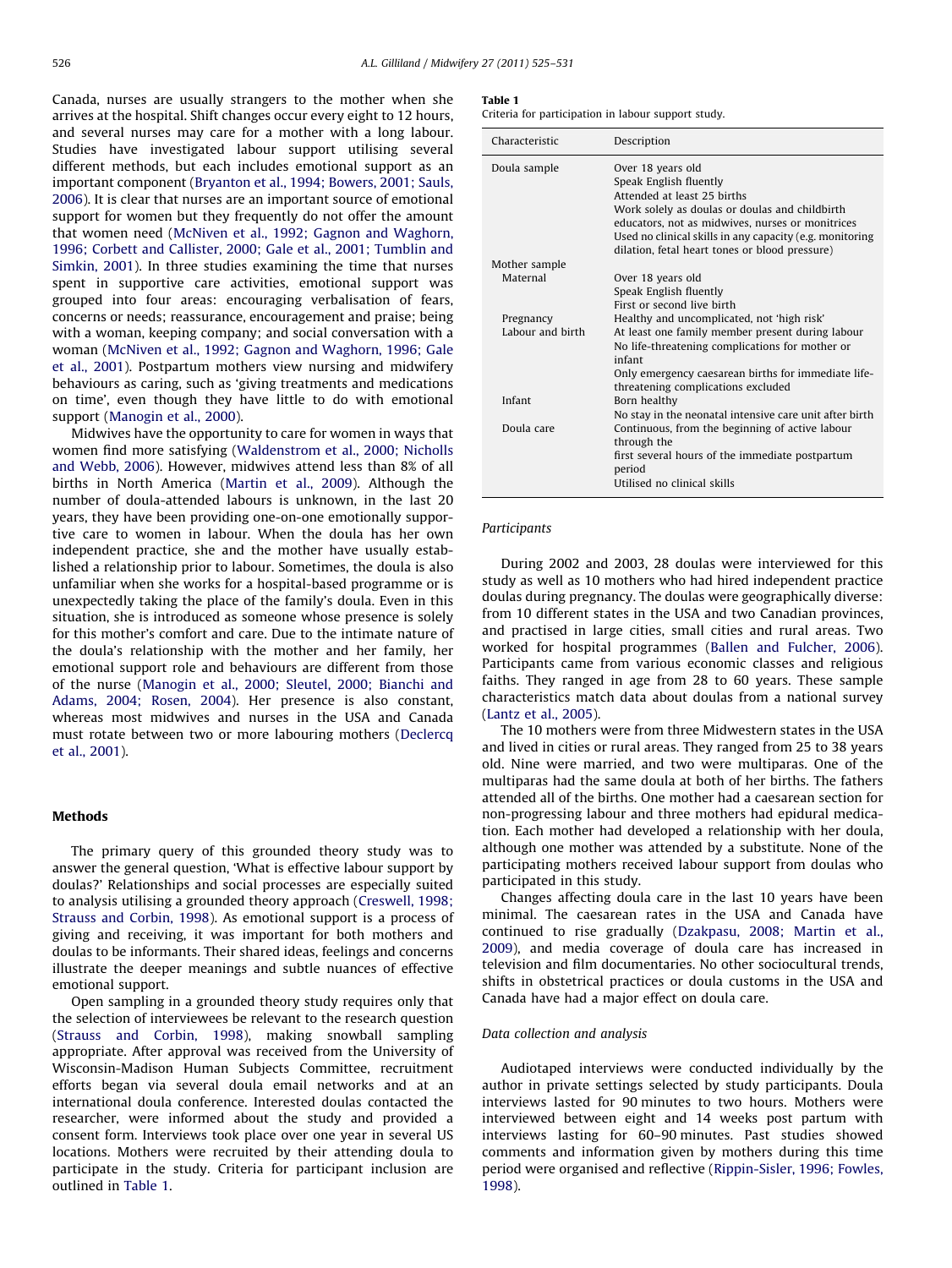Canada, nurses are usually strangers to the mother when she arrives at the hospital. Shift changes occur every eight to 12 hours, and several nurses may care for a mother with a long labour. Studies have investigated labour support utilising several different methods, but each includes emotional support as an important component ([Bryanton et al., 1994; Bowers, 2001; Sauls,](#page-6-0) [2006\)](#page-6-0). It is clear that nurses are an important source of emotional support for women but they frequently do not offer the amount that women need ([McNiven et al., 1992; Gagnon and Waghorn,](#page-6-0) [1996; Corbett and Callister, 2000; Gale et al., 2001; Tumblin and](#page-6-0) [Simkin, 2001\)](#page-6-0). In three studies examining the time that nurses spent in supportive care activities, emotional support was grouped into four areas: encouraging verbalisation of fears, concerns or needs; reassurance, encouragement and praise; being with a woman, keeping company; and social conversation with a woman [\(McNiven et al., 1992; Gagnon and Waghorn, 1996; Gale](#page-6-0) [et al., 2001\)](#page-6-0). Postpartum mothers view nursing and midwifery behaviours as caring, such as 'giving treatments and medications on time', even though they have little to do with emotional support [\(Manogin et al., 2000](#page-6-0)).

Midwives have the opportunity to care for women in ways that women find more satisfying [\(Waldenstrom et al., 2000; Nicholls](#page-6-0) [and Webb, 2006\)](#page-6-0). However, midwives attend less than 8% of all births in North America [\(Martin et al., 2009](#page-6-0)). Although the number of doula-attended labours is unknown, in the last 20 years, they have been providing one-on-one emotionally supportive care to women in labour. When the doula has her own independent practice, she and the mother have usually established a relationship prior to labour. Sometimes, the doula is also unfamiliar when she works for a hospital-based programme or is unexpectedly taking the place of the family's doula. Even in this situation, she is introduced as someone whose presence is solely for this mother's comfort and care. Due to the intimate nature of the doula's relationship with the mother and her family, her emotional support role and behaviours are different from those of the nurse [\(Manogin et al., 2000; Sleutel, 2000; Bianchi and](#page-6-0) [Adams, 2004; Rosen, 2004\)](#page-6-0). Her presence is also constant, whereas most midwives and nurses in the USA and Canada must rotate between two or more labouring mothers ([Declercq](#page-6-0) [et al., 2001](#page-6-0)).

### Methods

The primary query of this grounded theory study was to answer the general question, 'What is effective labour support by doulas?' Relationships and social processes are especially suited to analysis utilising a grounded theory approach [\(Creswell, 1998;](#page-6-0) [Strauss and Corbin, 1998](#page-6-0)). As emotional support is a process of giving and receiving, it was important for both mothers and doulas to be informants. Their shared ideas, feelings and concerns illustrate the deeper meanings and subtle nuances of effective emotional support.

Open sampling in a grounded theory study requires only that the selection of interviewees be relevant to the research question ([Strauss and Corbin, 1998](#page-6-0)), making snowball sampling appropriate. After approval was received from the University of Wisconsin-Madison Human Subjects Committee, recruitment efforts began via several doula email networks and at an international doula conference. Interested doulas contacted the researcher, were informed about the study and provided a consent form. Interviews took place over one year in several US locations. Mothers were recruited by their attending doula to participate in the study. Criteria for participant inclusion are outlined in Table 1.

#### Table 1

Criteria for participation in labour support study.

| Characteristic   | Description                                                                                                                                                                                                                                                                                    |
|------------------|------------------------------------------------------------------------------------------------------------------------------------------------------------------------------------------------------------------------------------------------------------------------------------------------|
| Doula sample     | Over 18 years old<br>Speak English fluently<br>Attended at least 25 births<br>Work solely as doulas or doulas and childbirth<br>educators, not as midwives, nurses or monitrices<br>Used no clinical skills in any capacity (e.g. monitoring<br>dilation, fetal heart tones or blood pressure) |
| Mother sample    |                                                                                                                                                                                                                                                                                                |
| Maternal         | Over 18 years old<br>Speak English fluently<br>First or second live birth                                                                                                                                                                                                                      |
| Pregnancy        | Healthy and uncomplicated, not 'high risk'                                                                                                                                                                                                                                                     |
| Labour and birth | At least one family member present during labour<br>No life-threatening complications for mother or<br>infant                                                                                                                                                                                  |
|                  | Only emergency caesarean births for immediate life-<br>threatening complications excluded                                                                                                                                                                                                      |
| Infant           | Born healthy<br>No stay in the neonatal intensive care unit after birth                                                                                                                                                                                                                        |
| Doula care       | Continuous, from the beginning of active labour<br>through the<br>first several hours of the immediate postpartum<br>period<br>Utilised no clinical skills                                                                                                                                     |

#### Participants

During 2002 and 2003, 28 doulas were interviewed for this study as well as 10 mothers who had hired independent practice doulas during pregnancy. The doulas were geographically diverse: from 10 different states in the USA and two Canadian provinces, and practised in large cities, small cities and rural areas. Two worked for hospital programmes ([Ballen and Fulcher, 2006\)](#page-5-0). Participants came from various economic classes and religious faiths. They ranged in age from 28 to 60 years. These sample characteristics match data about doulas from a national survey ([Lantz et al., 2005](#page-6-0)).

The 10 mothers were from three Midwestern states in the USA and lived in cities or rural areas. They ranged from 25 to 38 years old. Nine were married, and two were multiparas. One of the multiparas had the same doula at both of her births. The fathers attended all of the births. One mother had a caesarean section for non-progressing labour and three mothers had epidural medication. Each mother had developed a relationship with her doula, although one mother was attended by a substitute. None of the participating mothers received labour support from doulas who participated in this study.

Changes affecting doula care in the last 10 years have been minimal. The caesarean rates in the USA and Canada have continued to rise gradually [\(Dzakpasu, 2008; Martin et al.,](#page-6-0) [2009\)](#page-6-0), and media coverage of doula care has increased in television and film documentaries. No other sociocultural trends, shifts in obstetrical practices or doula customs in the USA and Canada have had a major effect on doula care.

#### Data collection and analysis

Audiotaped interviews were conducted individually by the author in private settings selected by study participants. Doula interviews lasted for 90 minutes to two hours. Mothers were interviewed between eight and 14 weeks post partum with interviews lasting for 60–90 minutes. Past studies showed comments and information given by mothers during this time period were organised and reflective ([Rippin-Sisler, 1996; Fowles,](#page-6-0) [1998\)](#page-6-0).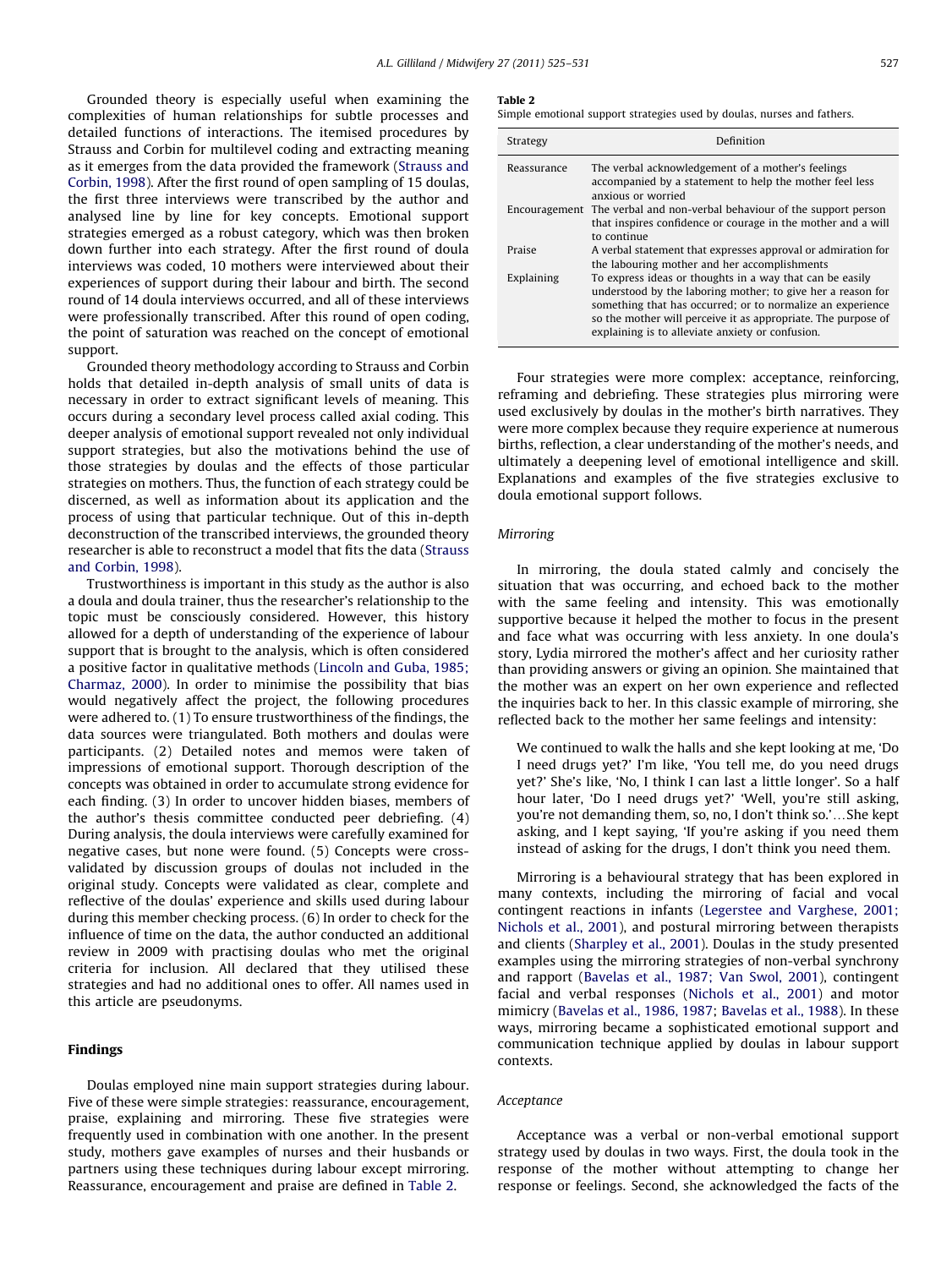Grounded theory is especially useful when examining the complexities of human relationships for subtle processes and detailed functions of interactions. The itemised procedures by Strauss and Corbin for multilevel coding and extracting meaning as it emerges from the data provided the framework [\(Strauss and](#page-6-0) [Corbin, 1998](#page-6-0)). After the first round of open sampling of 15 doulas, the first three interviews were transcribed by the author and analysed line by line for key concepts. Emotional support strategies emerged as a robust category, which was then broken down further into each strategy. After the first round of doula interviews was coded, 10 mothers were interviewed about their experiences of support during their labour and birth. The second round of 14 doula interviews occurred, and all of these interviews were professionally transcribed. After this round of open coding, the point of saturation was reached on the concept of emotional support.

Grounded theory methodology according to Strauss and Corbin holds that detailed in-depth analysis of small units of data is necessary in order to extract significant levels of meaning. This occurs during a secondary level process called axial coding. This deeper analysis of emotional support revealed not only individual support strategies, but also the motivations behind the use of those strategies by doulas and the effects of those particular strategies on mothers. Thus, the function of each strategy could be discerned, as well as information about its application and the process of using that particular technique. Out of this in-depth deconstruction of the transcribed interviews, the grounded theory researcher is able to reconstruct a model that fits the data [\(Strauss](#page-6-0) [and Corbin, 1998\)](#page-6-0).

Trustworthiness is important in this study as the author is also a doula and doula trainer, thus the researcher's relationship to the topic must be consciously considered. However, this history allowed for a depth of understanding of the experience of labour support that is brought to the analysis, which is often considered a positive factor in qualitative methods ([Lincoln and Guba, 1985;](#page-6-0) [Charmaz, 2000](#page-6-0)). In order to minimise the possibility that bias would negatively affect the project, the following procedures were adhered to. (1) To ensure trustworthiness of the findings, the data sources were triangulated. Both mothers and doulas were participants. (2) Detailed notes and memos were taken of impressions of emotional support. Thorough description of the concepts was obtained in order to accumulate strong evidence for each finding. (3) In order to uncover hidden biases, members of the author's thesis committee conducted peer debriefing. (4) During analysis, the doula interviews were carefully examined for negative cases, but none were found. (5) Concepts were crossvalidated by discussion groups of doulas not included in the original study. Concepts were validated as clear, complete and reflective of the doulas' experience and skills used during labour during this member checking process. (6) In order to check for the influence of time on the data, the author conducted an additional review in 2009 with practising doulas who met the original criteria for inclusion. All declared that they utilised these strategies and had no additional ones to offer. All names used in this article are pseudonyms.

#### Findings

Doulas employed nine main support strategies during labour. Five of these were simple strategies: reassurance, encouragement, praise, explaining and mirroring. These five strategies were frequently used in combination with one another. In the present study, mothers gave examples of nurses and their husbands or partners using these techniques during labour except mirroring. Reassurance, encouragement and praise are defined in Table 2.

#### Table 2

Simple emotional support strategies used by doulas, nurses and fathers.

| Strategy    | Definition                                                                                                                                                                                                                                                                                                 |
|-------------|------------------------------------------------------------------------------------------------------------------------------------------------------------------------------------------------------------------------------------------------------------------------------------------------------------|
| Reassurance | The verbal acknowledgement of a mother's feelings<br>accompanied by a statement to help the mother feel less<br>anxious or worried                                                                                                                                                                         |
|             | Encouragement The verbal and non-verbal behaviour of the support person<br>that inspires confidence or courage in the mother and a will<br>to continue                                                                                                                                                     |
| Praise      | A verbal statement that expresses approval or admiration for<br>the labouring mother and her accomplishments                                                                                                                                                                                               |
| Explaining  | To express ideas or thoughts in a way that can be easily<br>understood by the laboring mother; to give her a reason for<br>something that has occurred; or to normalize an experience<br>so the mother will perceive it as appropriate. The purpose of<br>explaining is to alleviate anxiety or confusion. |

Four strategies were more complex: acceptance, reinforcing, reframing and debriefing. These strategies plus mirroring were used exclusively by doulas in the mother's birth narratives. They were more complex because they require experience at numerous births, reflection, a clear understanding of the mother's needs, and ultimately a deepening level of emotional intelligence and skill. Explanations and examples of the five strategies exclusive to doula emotional support follows.

#### Mirroring

In mirroring, the doula stated calmly and concisely the situation that was occurring, and echoed back to the mother with the same feeling and intensity. This was emotionally supportive because it helped the mother to focus in the present and face what was occurring with less anxiety. In one doula's story, Lydia mirrored the mother's affect and her curiosity rather than providing answers or giving an opinion. She maintained that the mother was an expert on her own experience and reflected the inquiries back to her. In this classic example of mirroring, she reflected back to the mother her same feelings and intensity:

We continued to walk the halls and she kept looking at me, 'Do I need drugs yet?' I'm like, 'You tell me, do you need drugs yet?' She's like, 'No, I think I can last a little longer'. So a half hour later, 'Do I need drugs yet?' 'Well, you're still asking, you're not demanding them, so, no, I don't think so.'...She kept asking, and I kept saying, 'If you're asking if you need them instead of asking for the drugs, I don't think you need them.

Mirroring is a behavioural strategy that has been explored in many contexts, including the mirroring of facial and vocal contingent reactions in infants [\(Legerstee and Varghese, 2001;](#page-6-0) [Nichols et al., 2001](#page-6-0)), and postural mirroring between therapists and clients [\(Sharpley et al., 2001](#page-6-0)). Doulas in the study presented examples using the mirroring strategies of non-verbal synchrony and rapport [\(Bavelas et al., 1987; Van Swol, 2001\)](#page-5-0), contingent facial and verbal responses ([Nichols et al., 2001\)](#page-6-0) and motor mimicry [\(Bavelas et al., 1986, 1987](#page-5-0); [Bavelas et al., 1988\)](#page-5-0). In these ways, mirroring became a sophisticated emotional support and communication technique applied by doulas in labour support contexts.

#### Acceptance

Acceptance was a verbal or non-verbal emotional support strategy used by doulas in two ways. First, the doula took in the response of the mother without attempting to change her response or feelings. Second, she acknowledged the facts of the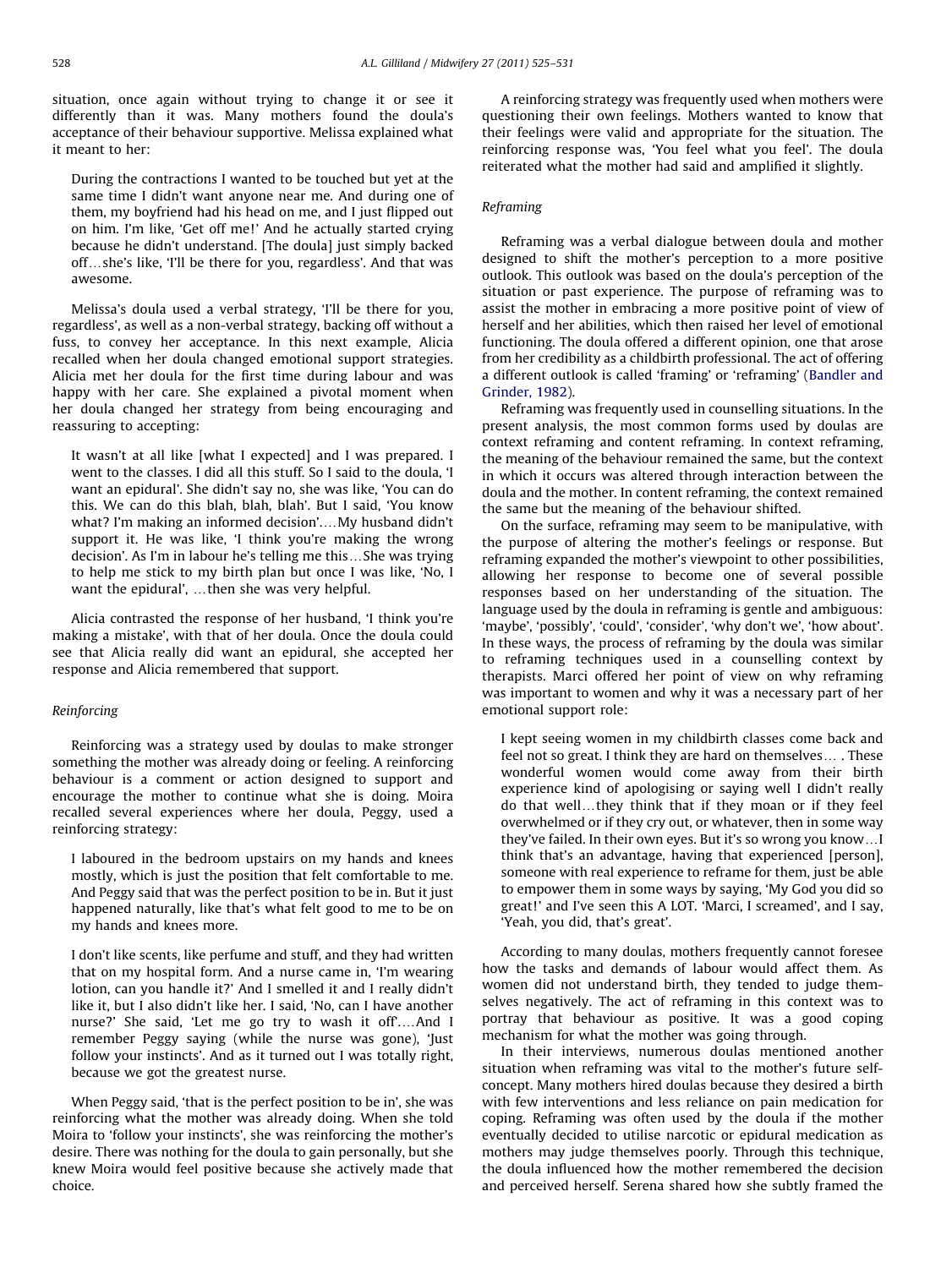situation, once again without trying to change it or see it differently than it was. Many mothers found the doula's acceptance of their behaviour supportive. Melissa explained what it meant to her:

During the contractions I wanted to be touched but yet at the same time I didn't want anyone near me. And during one of them, my boyfriend had his head on me, and I just flipped out on him. I'm like, 'Get off me!' And he actually started crying because he didn't understand. [The doula] just simply backed off...she's like, 'I'll be there for you, regardless'. And that was awesome.

Melissa's doula used a verbal strategy, 'I'll be there for you, regardless', as well as a non-verbal strategy, backing off without a fuss, to convey her acceptance. In this next example, Alicia recalled when her doula changed emotional support strategies. Alicia met her doula for the first time during labour and was happy with her care. She explained a pivotal moment when her doula changed her strategy from being encouraging and reassuring to accepting:

It wasn't at all like [what I expected] and I was prepared. I went to the classes. I did all this stuff. So I said to the doula, 'I want an epidural'. She didn't say no, she was like, 'You can do this. We can do this blah, blah, blah'. But I said, 'You know what? I'm making an informed decision'....My husband didn't support it. He was like, 'I think you're making the wrong decision'. As I'm in labour he's telling me this ... She was trying to help me stick to my birth plan but once I was like, 'No, I want the epidural', ... then she was very helpful.

Alicia contrasted the response of her husband, 'I think you're making a mistake', with that of her doula. Once the doula could see that Alicia really did want an epidural, she accepted her response and Alicia remembered that support.

#### Reinforcing

Reinforcing was a strategy used by doulas to make stronger something the mother was already doing or feeling. A reinforcing behaviour is a comment or action designed to support and encourage the mother to continue what she is doing. Moira recalled several experiences where her doula, Peggy, used a reinforcing strategy:

I laboured in the bedroom upstairs on my hands and knees mostly, which is just the position that felt comfortable to me. And Peggy said that was the perfect position to be in. But it just happened naturally, like that's what felt good to me to be on my hands and knees more.

I don't like scents, like perfume and stuff, and they had written that on my hospital form. And a nurse came in, 'I'm wearing lotion, can you handle it?' And I smelled it and I really didn't like it, but I also didn't like her. I said, 'No, can I have another nurse?' She said, 'Let me go try to wash it off....And I remember Peggy saying (while the nurse was gone), 'Just follow your instincts'. And as it turned out I was totally right, because we got the greatest nurse.

When Peggy said, 'that is the perfect position to be in', she was reinforcing what the mother was already doing. When she told Moira to 'follow your instincts', she was reinforcing the mother's desire. There was nothing for the doula to gain personally, but she knew Moira would feel positive because she actively made that choice.

A reinforcing strategy was frequently used when mothers were questioning their own feelings. Mothers wanted to know that their feelings were valid and appropriate for the situation. The reinforcing response was, 'You feel what you feel'. The doula reiterated what the mother had said and amplified it slightly.

#### Reframing

Reframing was a verbal dialogue between doula and mother designed to shift the mother's perception to a more positive outlook. This outlook was based on the doula's perception of the situation or past experience. The purpose of reframing was to assist the mother in embracing a more positive point of view of herself and her abilities, which then raised her level of emotional functioning. The doula offered a different opinion, one that arose from her credibility as a childbirth professional. The act of offering a different outlook is called 'framing' or 'reframing' [\(Bandler and](#page-5-0) [Grinder, 1982](#page-5-0)).

Reframing was frequently used in counselling situations. In the present analysis, the most common forms used by doulas are context reframing and content reframing. In context reframing, the meaning of the behaviour remained the same, but the context in which it occurs was altered through interaction between the doula and the mother. In content reframing, the context remained the same but the meaning of the behaviour shifted.

On the surface, reframing may seem to be manipulative, with the purpose of altering the mother's feelings or response. But reframing expanded the mother's viewpoint to other possibilities, allowing her response to become one of several possible responses based on her understanding of the situation. The language used by the doula in reframing is gentle and ambiguous: 'maybe', 'possibly', 'could', 'consider', 'why don't we', 'how about'. In these ways, the process of reframing by the doula was similar to reframing techniques used in a counselling context by therapists. Marci offered her point of view on why reframing was important to women and why it was a necessary part of her emotional support role:

I kept seeing women in my childbirth classes come back and feel not so great. I think they are hard on themselves... . These wonderful women would come away from their birth experience kind of apologising or saying well I didn't really do that well...they think that if they moan or if they feel overwhelmed or if they cry out, or whatever, then in some way they've failed. In their own eyes. But it's so wrong you know... $I$ think that's an advantage, having that experienced [person], someone with real experience to reframe for them, just be able to empower them in some ways by saying, 'My God you did so great!' and I've seen this A LOT. 'Marci, I screamed', and I say, 'Yeah, you did, that's great'.

According to many doulas, mothers frequently cannot foresee how the tasks and demands of labour would affect them. As women did not understand birth, they tended to judge themselves negatively. The act of reframing in this context was to portray that behaviour as positive. It was a good coping mechanism for what the mother was going through.

In their interviews, numerous doulas mentioned another situation when reframing was vital to the mother's future selfconcept. Many mothers hired doulas because they desired a birth with few interventions and less reliance on pain medication for coping. Reframing was often used by the doula if the mother eventually decided to utilise narcotic or epidural medication as mothers may judge themselves poorly. Through this technique, the doula influenced how the mother remembered the decision and perceived herself. Serena shared how she subtly framed the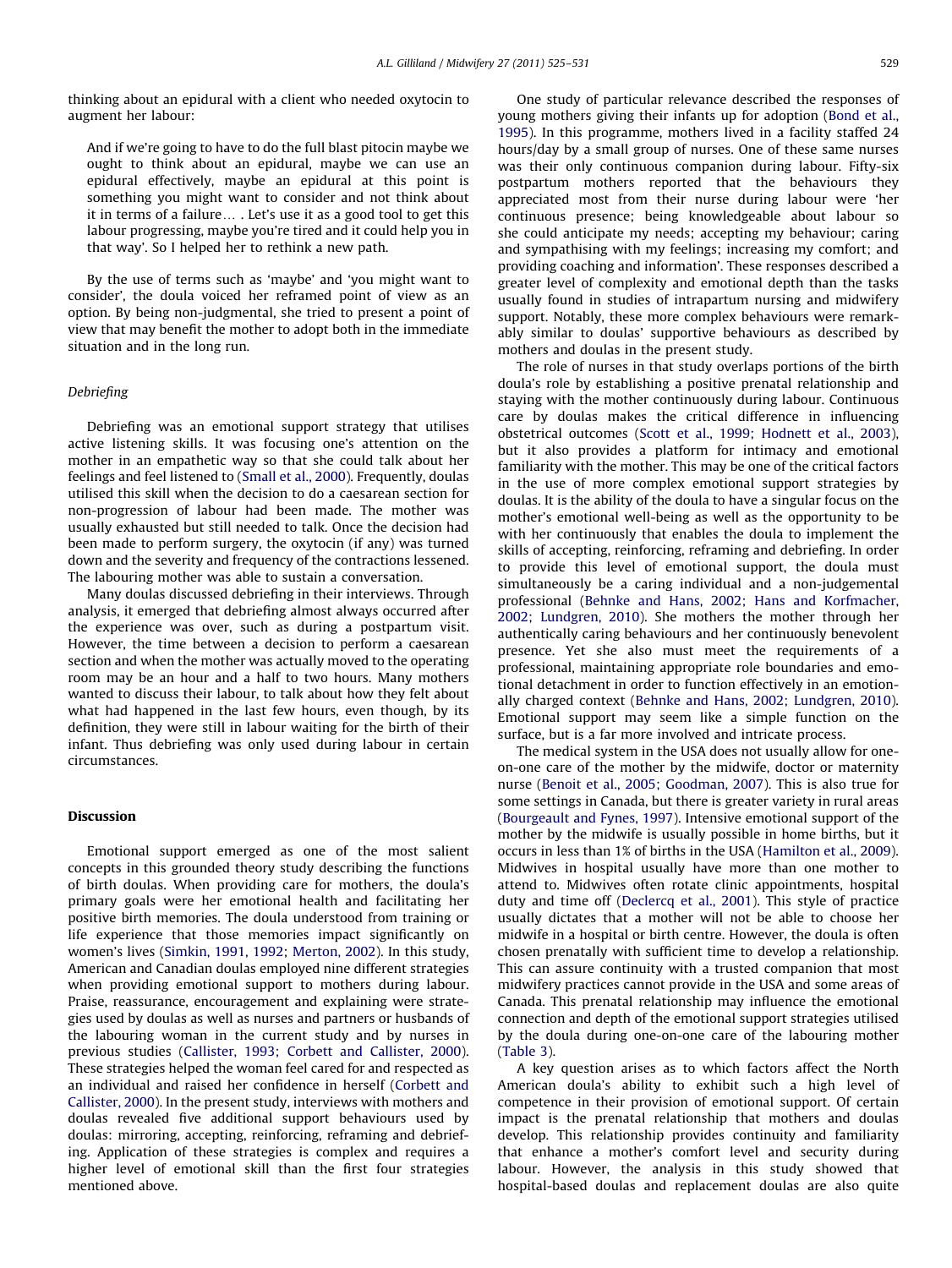thinking about an epidural with a client who needed oxytocin to augment her labour:

And if we're going to have to do the full blast pitocin maybe we ought to think about an epidural, maybe we can use an epidural effectively, maybe an epidural at this point is something you might want to consider and not think about it in terms of a failure ... . Let's use it as a good tool to get this labour progressing, maybe you're tired and it could help you in that way'. So I helped her to rethink a new path.

By the use of terms such as 'maybe' and 'you might want to consider', the doula voiced her reframed point of view as an option. By being non-judgmental, she tried to present a point of view that may benefit the mother to adopt both in the immediate situation and in the long run.

#### Debriefing

Debriefing was an emotional support strategy that utilises active listening skills. It was focusing one's attention on the mother in an empathetic way so that she could talk about her feelings and feel listened to ([Small et al., 2000](#page-6-0)). Frequently, doulas utilised this skill when the decision to do a caesarean section for non-progression of labour had been made. The mother was usually exhausted but still needed to talk. Once the decision had been made to perform surgery, the oxytocin (if any) was turned down and the severity and frequency of the contractions lessened. The labouring mother was able to sustain a conversation.

Many doulas discussed debriefing in their interviews. Through analysis, it emerged that debriefing almost always occurred after the experience was over, such as during a postpartum visit. However, the time between a decision to perform a caesarean section and when the mother was actually moved to the operating room may be an hour and a half to two hours. Many mothers wanted to discuss their labour, to talk about how they felt about what had happened in the last few hours, even though, by its definition, they were still in labour waiting for the birth of their infant. Thus debriefing was only used during labour in certain circumstances.

### Discussion

Emotional support emerged as one of the most salient concepts in this grounded theory study describing the functions of birth doulas. When providing care for mothers, the doula's primary goals were her emotional health and facilitating her positive birth memories. The doula understood from training or life experience that those memories impact significantly on women's lives ([Simkin, 1991, 1992;](#page-6-0) [Merton, 2002](#page-6-0)). In this study, American and Canadian doulas employed nine different strategies when providing emotional support to mothers during labour. Praise, reassurance, encouragement and explaining were strategies used by doulas as well as nurses and partners or husbands of the labouring woman in the current study and by nurses in previous studies [\(Callister, 1993; Corbett and Callister, 2000\)](#page-6-0). These strategies helped the woman feel cared for and respected as an individual and raised her confidence in herself [\(Corbett and](#page-6-0) [Callister, 2000\)](#page-6-0). In the present study, interviews with mothers and doulas revealed five additional support behaviours used by doulas: mirroring, accepting, reinforcing, reframing and debriefing. Application of these strategies is complex and requires a higher level of emotional skill than the first four strategies mentioned above.

One study of particular relevance described the responses of young mothers giving their infants up for adoption ([Bond et al.,](#page-5-0) [1995\)](#page-5-0). In this programme, mothers lived in a facility staffed 24 hours/day by a small group of nurses. One of these same nurses was their only continuous companion during labour. Fifty-six postpartum mothers reported that the behaviours they appreciated most from their nurse during labour were 'her continuous presence; being knowledgeable about labour so she could anticipate my needs; accepting my behaviour; caring and sympathising with my feelings; increasing my comfort; and providing coaching and information'. These responses described a greater level of complexity and emotional depth than the tasks usually found in studies of intrapartum nursing and midwifery support. Notably, these more complex behaviours were remarkably similar to doulas' supportive behaviours as described by mothers and doulas in the present study.

The role of nurses in that study overlaps portions of the birth doula's role by establishing a positive prenatal relationship and staying with the mother continuously during labour. Continuous care by doulas makes the critical difference in influencing obstetrical outcomes [\(Scott et al., 1999; Hodnett et al., 2003\)](#page-6-0), but it also provides a platform for intimacy and emotional familiarity with the mother. This may be one of the critical factors in the use of more complex emotional support strategies by doulas. It is the ability of the doula to have a singular focus on the mother's emotional well-being as well as the opportunity to be with her continuously that enables the doula to implement the skills of accepting, reinforcing, reframing and debriefing. In order to provide this level of emotional support, the doula must simultaneously be a caring individual and a non-judgemental professional [\(Behnke and Hans, 2002; Hans and Korfmacher,](#page-5-0) [2002; Lundgren, 2010](#page-5-0)). She mothers the mother through her authentically caring behaviours and her continuously benevolent presence. Yet she also must meet the requirements of a professional, maintaining appropriate role boundaries and emotional detachment in order to function effectively in an emotionally charged context ([Behnke and Hans, 2002; Lundgren, 2010\)](#page-5-0). Emotional support may seem like a simple function on the surface, but is a far more involved and intricate process.

The medical system in the USA does not usually allow for oneon-one care of the mother by the midwife, doctor or maternity nurse [\(Benoit et al., 2005; Goodman, 2007\)](#page-5-0). This is also true for some settings in Canada, but there is greater variety in rural areas ([Bourgeault and Fynes, 1997](#page-6-0)). Intensive emotional support of the mother by the midwife is usually possible in home births, but it occurs in less than 1% of births in the USA [\(Hamilton et al., 2009\)](#page-6-0). Midwives in hospital usually have more than one mother to attend to. Midwives often rotate clinic appointments, hospital duty and time off [\(Declercq et al., 2001\)](#page-6-0). This style of practice usually dictates that a mother will not be able to choose her midwife in a hospital or birth centre. However, the doula is often chosen prenatally with sufficient time to develop a relationship. This can assure continuity with a trusted companion that most midwifery practices cannot provide in the USA and some areas of Canada. This prenatal relationship may influence the emotional connection and depth of the emotional support strategies utilised by the doula during one-on-one care of the labouring mother ([Table 3\)](#page-5-0).

A key question arises as to which factors affect the North American doula's ability to exhibit such a high level of competence in their provision of emotional support. Of certain impact is the prenatal relationship that mothers and doulas develop. This relationship provides continuity and familiarity that enhance a mother's comfort level and security during labour. However, the analysis in this study showed that hospital-based doulas and replacement doulas are also quite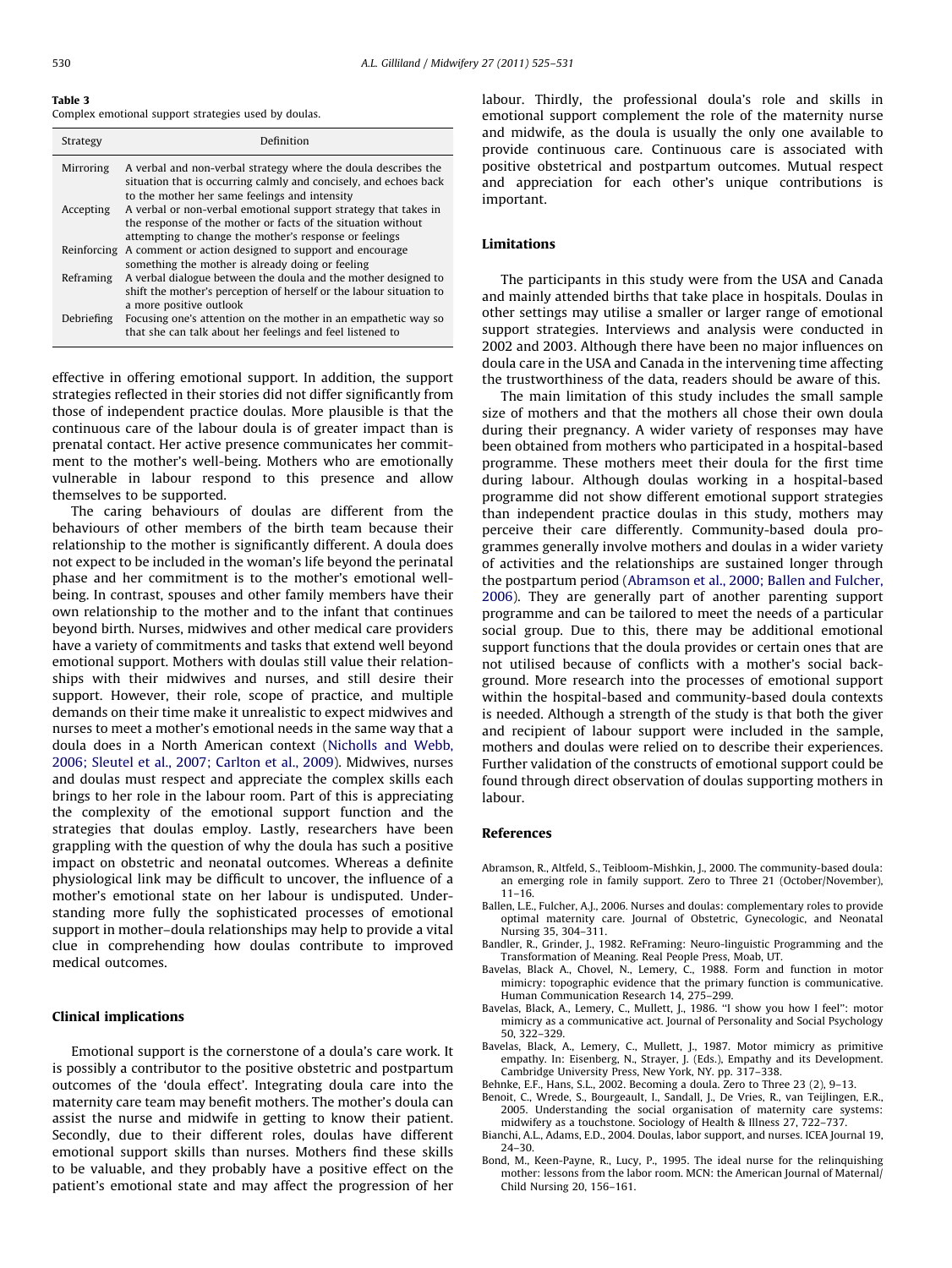#### <span id="page-5-0"></span>Table 3

| Complex emotional support strategies used by doulas. |  |  |
|------------------------------------------------------|--|--|
|                                                      |  |  |

| Strategy    | Definition                                                                                                                                                                                |
|-------------|-------------------------------------------------------------------------------------------------------------------------------------------------------------------------------------------|
| Mirroring   | A verbal and non-verbal strategy where the doula describes the<br>situation that is occurring calmly and concisely, and echoes back<br>to the mother her same feelings and intensity      |
| Accepting   | A verbal or non-verbal emotional support strategy that takes in<br>the response of the mother or facts of the situation without<br>attempting to change the mother's response or feelings |
| Reinforcing | A comment or action designed to support and encourage<br>something the mother is already doing or feeling                                                                                 |
| Reframing   | A verbal dialogue between the doula and the mother designed to<br>shift the mother's perception of herself or the labour situation to<br>a more positive outlook                          |
| Debriefing  | Focusing one's attention on the mother in an empathetic way so<br>that she can talk about her feelings and feel listened to                                                               |

effective in offering emotional support. In addition, the support strategies reflected in their stories did not differ significantly from those of independent practice doulas. More plausible is that the continuous care of the labour doula is of greater impact than is prenatal contact. Her active presence communicates her commitment to the mother's well-being. Mothers who are emotionally vulnerable in labour respond to this presence and allow themselves to be supported.

The caring behaviours of doulas are different from the behaviours of other members of the birth team because their relationship to the mother is significantly different. A doula does not expect to be included in the woman's life beyond the perinatal phase and her commitment is to the mother's emotional wellbeing. In contrast, spouses and other family members have their own relationship to the mother and to the infant that continues beyond birth. Nurses, midwives and other medical care providers have a variety of commitments and tasks that extend well beyond emotional support. Mothers with doulas still value their relationships with their midwives and nurses, and still desire their support. However, their role, scope of practice, and multiple demands on their time make it unrealistic to expect midwives and nurses to meet a mother's emotional needs in the same way that a doula does in a North American context [\(Nicholls and Webb,](#page-6-0) [2006; Sleutel et al., 2007; Carlton et al., 2009\)](#page-6-0). Midwives, nurses and doulas must respect and appreciate the complex skills each brings to her role in the labour room. Part of this is appreciating the complexity of the emotional support function and the strategies that doulas employ. Lastly, researchers have been grappling with the question of why the doula has such a positive impact on obstetric and neonatal outcomes. Whereas a definite physiological link may be difficult to uncover, the influence of a mother's emotional state on her labour is undisputed. Understanding more fully the sophisticated processes of emotional support in mother–doula relationships may help to provide a vital clue in comprehending how doulas contribute to improved medical outcomes.

#### Clinical implications

Emotional support is the cornerstone of a doula's care work. It is possibly a contributor to the positive obstetric and postpartum outcomes of the 'doula effect'. Integrating doula care into the maternity care team may benefit mothers. The mother's doula can assist the nurse and midwife in getting to know their patient. Secondly, due to their different roles, doulas have different emotional support skills than nurses. Mothers find these skills to be valuable, and they probably have a positive effect on the patient's emotional state and may affect the progression of her labour. Thirdly, the professional doula's role and skills in emotional support complement the role of the maternity nurse and midwife, as the doula is usually the only one available to provide continuous care. Continuous care is associated with positive obstetrical and postpartum outcomes. Mutual respect and appreciation for each other's unique contributions is important.

#### Limitations

The participants in this study were from the USA and Canada and mainly attended births that take place in hospitals. Doulas in other settings may utilise a smaller or larger range of emotional support strategies. Interviews and analysis were conducted in 2002 and 2003. Although there have been no major influences on doula care in the USA and Canada in the intervening time affecting the trustworthiness of the data, readers should be aware of this.

The main limitation of this study includes the small sample size of mothers and that the mothers all chose their own doula during their pregnancy. A wider variety of responses may have been obtained from mothers who participated in a hospital-based programme. These mothers meet their doula for the first time during labour. Although doulas working in a hospital-based programme did not show different emotional support strategies than independent practice doulas in this study, mothers may perceive their care differently. Community-based doula programmes generally involve mothers and doulas in a wider variety of activities and the relationships are sustained longer through the postpartum period (Abramson et al., 2000; Ballen and Fulcher, 2006). They are generally part of another parenting support programme and can be tailored to meet the needs of a particular social group. Due to this, there may be additional emotional support functions that the doula provides or certain ones that are not utilised because of conflicts with a mother's social background. More research into the processes of emotional support within the hospital-based and community-based doula contexts is needed. Although a strength of the study is that both the giver and recipient of labour support were included in the sample, mothers and doulas were relied on to describe their experiences. Further validation of the constructs of emotional support could be found through direct observation of doulas supporting mothers in labour.

#### References

- Abramson, R., Altfeld, S., Teibloom-Mishkin, J., 2000. The community-based doula: an emerging role in family support. Zero to Three 21 (October/November), 11–16.
- Ballen, L.E., Fulcher, A.J., 2006. Nurses and doulas: complementary roles to provide optimal maternity care. Journal of Obstetric, Gynecologic, and Neonatal Nursing 35, 304–311.
- Bandler, R., Grinder, J., 1982. ReFraming: Neuro-linguistic Programming and the Transformation of Meaning. Real People Press, Moab, UT.
- Bavelas, Black A., Chovel, N., Lemery, C., 1988. Form and function in motor mimicry: topographic evidence that the primary function is communicative. Human Communication Research 14, 275–299.
- Bavelas, Black, A., Lemery, C., Mullett, J., 1986. ''I show you how I feel'': motor mimicry as a communicative act. Journal of Personality and Social Psychology 50, 322–329.
- Bavelas, Black, A., Lemery, C., Mullett, J., 1987. Motor mimicry as primitive empathy. In: Eisenberg, N., Strayer, J. (Eds.), Empathy and its Development. Cambridge University Press, New York, NY. pp. 317–338.
- Behnke, E.F., Hans, S.L., 2002. Becoming a doula. Zero to Three 23 (2), 9–13.
- Benoit, C., Wrede, S., Bourgeault, I., Sandall, J., De Vries, R., van Teijlingen, E.R., 2005. Understanding the social organisation of maternity care systems: midwifery as a touchstone. Sociology of Health & Illness 27, 722–737.
- Bianchi, A.L., Adams, E.D., 2004. Doulas, labor support, and nurses. ICEA Journal 19, 24–30.
- Bond, M., Keen-Payne, R., Lucy, P., 1995. The ideal nurse for the relinquishing mother: lessons from the labor room. MCN: the American Journal of Maternal/ Child Nursing 20, 156–161.